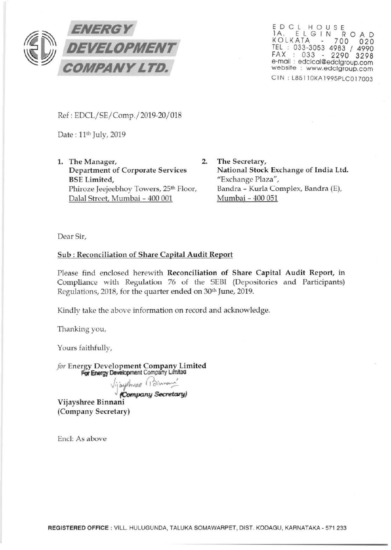

<sup>E</sup> DCL HOUSE 1A, ELGIN ROAD KOLKATA - 700 020 TEL : 033-3053 4983 / 4990 FAX : 033 - 2290 3298 e-mail : edclcal@edclgroup.com website : www.edclgroup.com CIN : L85110KA1995PLC017003

Ref: EDCL/SE/Comp./2019-20/ 018

Date: 11th July, 2019

1. The Manager, 2. Department of Corporate Services BSE Limited, Phiroze Jeejeebhoy Towers, 25th Floor, Dalal Street, Mumbai- 400 001

The Secretary, National Stock Exchange of India Ltd. "Exchange Plaza", Bandra - Kurla Complex, Sandra (E), Mumbai - 400 051

Dear Sir,

## Sub: Reconciliation of Share Capital Audit Report

Please find enclosed herewith Reconciliation of Share Capital Audit Report, in Compliance with Regulation 76 of the SEBI (Depositories and Participants) Regulations, 2018, for the quarter ended on 30th June, 2019.

Kindly take the above information on record and acknowledge.

Thanking you,

Yours faithfully,

*for* Energy Development Company, Limited For Energy Development Company Limited

J.jayshuee (Dinnam<sup>'</sup>

Vijayshree Binnani (Company Secretary)

Encl: As above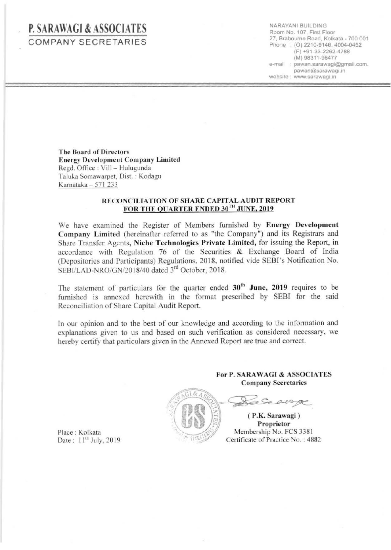## **P.** SARA\\IAGI & **ASSOCIATES**  COMPANY SECRETARIES

NARAYAN! BUILDING Room No. 107, First Floor 27, Brabourne Road. Kolkata- 700 001 Phone : (0) 2210-9146, 4004-0452 (F) +91-33-2262-4788 (M) 98311-96477 e-mail : pawan.sarawagi@gmail.com. pawan@sarawagi.in website : www.sarawagi.in

The Board of Directors **Energy Development Company Limited** Regd. Office: Viii- Hulugunda Taluka Somawarpet. Dist. : Kodagu Karnataka - 571 233

## RECONCILIATION OF SHARE CAPITAL AUDIT REPORT FOR THE OUARTER ENDED 30TH JUNE, 2019

We have examined the Register of Members furnished by Energy Development Company Limited (hereinafter referred to as "the Company") and its Registrars and Share Transfer Agents, Niche Technologies Private Limited, for issuing the Report, in accordance with Regulation 76 of the Securities & Exchange Board of India (Depositories and Participants) Regulations, 2018, notified vide SEBI's Notification No. SEBI/LAD-NRO/GN/2018/40 dated 3<sup>rd</sup> October, 2018.

The statement of particulars for the quarter ended  $30<sup>th</sup>$  June, 2019 requires to be furnished is annexed herewith in the format prescribed by SEBI for the said Reconciliation of Share Capital Audit Report.

In our opinion and to the best of our knowledge and according to the information and explanations given to us and based on such verification as considered necessary, we hereby certify that particulars given in the Annexed Report are true and correct.



For P. SARA WAGI & ASSOCIATES Company Secretaries

·.\1 , E)\ ( P.K. Sa~awagi) , · . ·f Propn etor *. \_\_ \_...\_ .•* :;-~;j Membership No. FCS 33 <sup>81</sup> Certificate of Practice No.: 4882

Seavage

Place: Kolkata Date:  $11^{th}$  July, 2019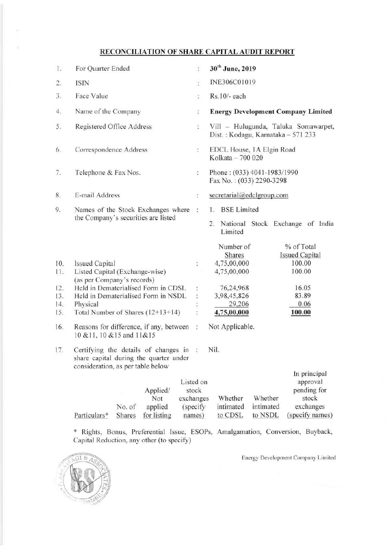## **RECONCILIATION OF SHARE CAPITAL AUDIT REPORT**

| 1.                                            | For Quarter Ended                                                                                                                                                                                                                                                                             | $\ddot{\cdot}$                         | 30 <sup>th</sup> June, 2019                                                                                                                                                                                              |
|-----------------------------------------------|-----------------------------------------------------------------------------------------------------------------------------------------------------------------------------------------------------------------------------------------------------------------------------------------------|----------------------------------------|--------------------------------------------------------------------------------------------------------------------------------------------------------------------------------------------------------------------------|
| 2.                                            | ISIN                                                                                                                                                                                                                                                                                          | $\ddot{\cdot}$                         | INE306C01019                                                                                                                                                                                                             |
| 3.                                            | Face Value                                                                                                                                                                                                                                                                                    | $\ddot{\cdot}$                         | Rs.10/- each                                                                                                                                                                                                             |
| 4.                                            | Name of the Company                                                                                                                                                                                                                                                                           | t.                                     | <b>Energy Development Company Limited</b>                                                                                                                                                                                |
| 5.                                            | Registered Office Address                                                                                                                                                                                                                                                                     | $\mathbb{Z}$                           | Vill - Hulugunda, Taluka Somawarpet,<br>Dist.: Kodagu, Karnataka - 571 233                                                                                                                                               |
| 6.                                            | Correspondence Address                                                                                                                                                                                                                                                                        | $\mathcal{L}_{\mathbf{r}}$             | EDCL House, 1A Elgin Road<br>Kolkata - 700 020                                                                                                                                                                           |
| 7.                                            | Telephone & Fax Nos.                                                                                                                                                                                                                                                                          | $\ddot{\cdot}$                         | Phone: (033) 4041-1983/1990<br>Fax No.: (033) 2290-3298                                                                                                                                                                  |
| 8.                                            | E-mail Address                                                                                                                                                                                                                                                                                | $\ddot{\cdot}$                         | secretarial@edclgroup.com                                                                                                                                                                                                |
| 9.                                            | Names of the Stock Exchanges where<br>the Company's securities are listed                                                                                                                                                                                                                     | $\mathcal{L}_{\mathcal{L}}$            | <b>BSE Limited</b><br>1.<br>National Stock Exchange of India<br>2.<br>Limited                                                                                                                                            |
| 10.<br>11.<br>12.<br>13.<br>14.<br>15.<br>16. | <b>Issued Capital</b><br>Listed Capital (Exchange-wise)<br>(as per Company's records)<br>Held in Dematerialised Form in CDSL<br>Held in Dematerialised Form in NSDL<br>Physical<br>Total Number of Shares (12+13+14)<br>Reasons for difference, if any, between<br>10 & 11, 10 & 15 and 11&15 | $\ddot{\cdot}$<br>÷,<br>$\ddot{\cdot}$ | % of Total<br>Number of<br><b>Issued Capital</b><br>Shares<br>100.00<br>4,75,00,000<br>100.00<br>4,75,00,000<br>16.05<br>76,24,968<br>83.89<br>3,98,45,826<br>0.06<br>29,206<br>4,75,00,000<br>100.00<br>Not Applicable. |
| 17.                                           | Certifying the details of changes in<br>share capital during the quarter under<br>consideration, as per table below<br>Applied/<br>Not<br>exchanges                                                                                                                                           | ģ.<br>Listed on<br>stock               | Nil.<br>In principal<br>approval<br>pending for<br>Whether<br>Whether<br>stock                                                                                                                                           |

\* Rights, Bonus, Preferential Issue, ESOPs, Amalgamation, Conversion, Buyback, Capital Reduction, any other (to specify)

intimated to CDSL

(specify names)



Particulars\*

No. of applied Shares for listing

Energy Development Company Limited

exchanges (specify names)

intimated to NSDL